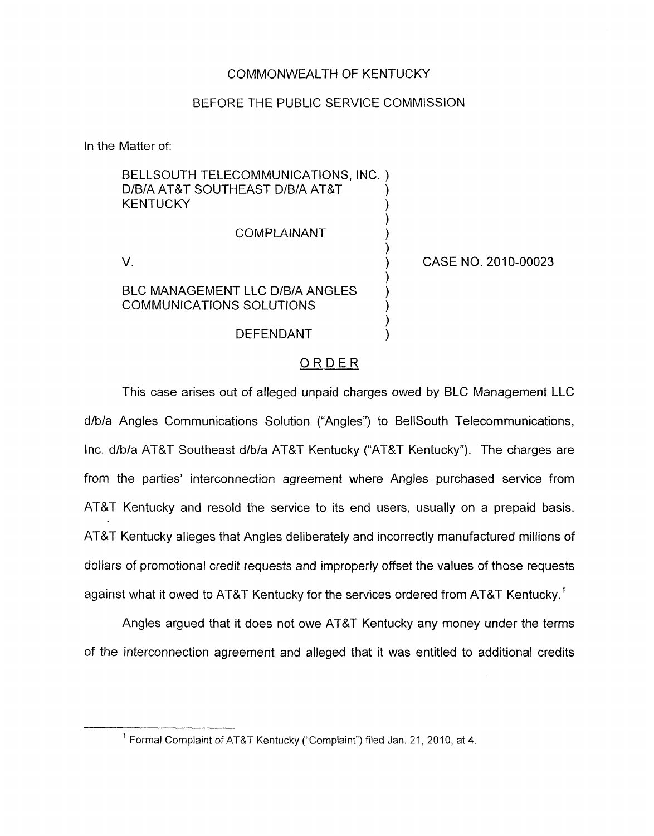# COMMONWEALTH OF KENTUCKY

# BEFORE THE PUBLIC SERVICE COMMISSION

In the Matter of:

| BELLSOUTH TELECOMMUNICATIONS, INC.)<br>D/B/A AT&T SOUTHEAST D/B/A AT&T<br><b>KENTUCKY</b> |                     |
|-------------------------------------------------------------------------------------------|---------------------|
| COMPLAINANT                                                                               |                     |
|                                                                                           | CASE NO. 2010-00023 |
| <b>BLC MANAGEMENT LLC D/B/A ANGLES</b><br>COMMUNICATIONS SOLUTIONS                        |                     |
| DEFENDANT                                                                                 |                     |

## ORDER

This case arises out of alleged unpaid charges owed by **BLC** Management LLC d/b/a Angles Communications Solution ("Angles") to BellSouth Telecommunications, Inc. d/b/a AT&T Southeast d/b/a AT&T Kentucky ("AT&T Kentucky"). The charges are from the parties' interconnection agreement where Angles purchased service from AT&T Kentucky and resold the service to its end users, usually on a prepaid basis. AT&T Kentucky alleges that Angles deliberately and incorrectly manufactured millions of dollars of promotional credit requests and improperly offset the values of those requests against what it owed to AT&T Kentucky for the services ordered from AT&T Kentucky.'

Angles argued that it does not owe AT&T Kentucky any money under the terms of the interconnection agreement and alleged that it was entitled to additional credits

<sup>&</sup>lt;sup>1</sup> Formal Complaint of AT&T Kentucky ("Complaint") filed Jan. 21, 2010, at 4.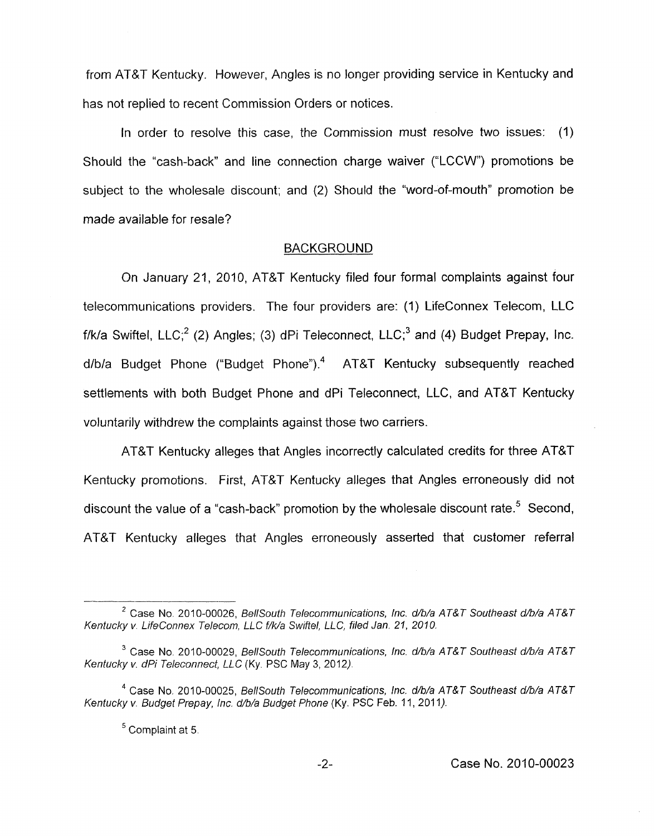from AT&T Kentucky. However, Angles is no longer providing service in Kentucky and has not replied to recent Commission Orders or notices.

In order to resolve this case, the Commission must resolve two issues: (1) Should the "cash-back" and line connection charge waiver ("LCCW") promotions be subject to the wholesale discount; and (2) Should the "word-of-mouth" promotion be made available for resale?

#### BACKGROUND

On January 21, 2010, AT&T Kentucky filed four formal complaints against four telecommunications providers. The four providers are: (1) LifeConnex Telecom, LLC f/k/a Swiftel, LLC;<sup>2</sup> (2) Angles; (3) dPi Teleconnect, LLC;<sup>3</sup> and (4) Budget Prepay, Inc.  $d/b/a$  Budget Phone ("Budget Phone").<sup>4</sup> AT&T Kentucky subsequently reached settlements with both Budget Phone and dPi Teleconnect, LLC, and AT&T Kentucky voluntarily withdrew the complaints against those two carriers.

AT&T Kentucky alleges that Angles incorrectly calculated credits for three AT&T Kentucky promotions. First, AT&T Kentucky alleges that Angles erroneously did not discount the value of a "cash-back" promotion by the wholesale discount rate.<sup>5</sup> Second, AT&T Kentucky alleges that Angles erroneously asserted that customer referral

<sup>&</sup>lt;sup>2</sup> Case No. 2010-00026, *BellSouth Telecommunications, Inc. d/b/a AT&T Southeast d/b/a AT&T Kentucky v. LifeConnex Telecom, LLC f/k/a Swiftel, LLC, filed Jan. 21, 2010.* 

<sup>&</sup>lt;sup>3</sup> Case No. 2010-00029, *BellSouth Telecommunications, Inc. d/b/a AT&T Southeast d/b/a AT&T Kentucky v. dPi Teleconnect, LLC* (Ky. PSC May 3, 2012).

<sup>&</sup>lt;sup>4</sup> Case No. 2010-00025, *BellSouth Telecommunications, Inc. d/b/a AT&T Southeast d/b/a AT&T* Kentucky v. Budget Prepay, Inc. d/b/a Budget Phone (Ky. PSC Feb. 11, 2011).

<sup>&</sup>lt;sup>5</sup> Complaint at 5.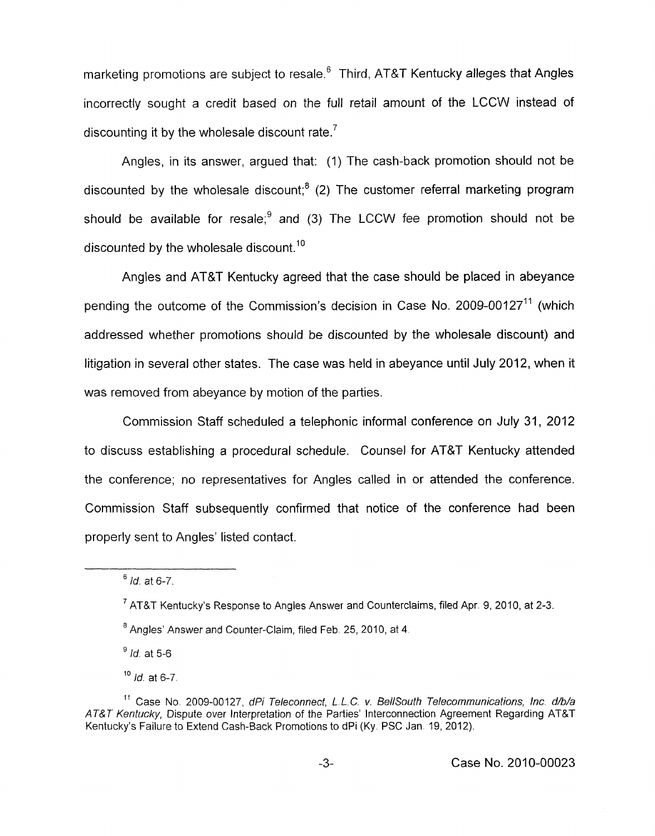marketing promotions are subject to resale.<sup>6</sup> Third, AT&T Kentucky alleges that Angles incorrectly sought a credit based on the full retail amount of the LCCVV instead of discounting it by the wholesale discount rate. $<sup>7</sup>$ </sup>

Angles, in its answer, argued that: (1) The cash-back promotion should not be discounted by the wholesale discount;<sup>8</sup> (2) The customer referral marketing program should be available for resale: $9$  and (3) The LCCW fee promotion should not be discounted by the wholesale discount.<sup>10</sup>

Angles and AT&T Kentucky agreed that the case should be placed in abeyance pending the outcome of the Commission's decision in Case No. 2009-00127<sup>11</sup> (which addressed whether promotions should be discounted by the wholesale discount) and litigation in several other states. The case was held in abeyance until July 2012, when it was removed from abeyance by motion of the parties.

Commission Staff scheduled a telephonic informal conference on July 31, 2012 to discuss establishing a procedural schedule. Counsel for AT&T Kentucky attended the conference; no representatives for Angles called in or attended the conference. Commission Staff subsequently confirmed that notice of the conference had been properly sent to Angles' listed contact.

<sup>9</sup> *Id.* at 5-6

<sup>&</sup>lt;sup>6</sup> *Id.* at 6-7.

 $^7$  AT&T Kentucky's Response to Angles Answer and Counterclaims, filed Apr. 9, 2010, at 2-3.

 $^8$  Angles' Answer and Counter-Claim, filed Feb. 25, 2010, at 4.

*Id* at 6-7 **<sup>10</sup>**

<sup>&</sup>lt;sup>11</sup> Case No. 2009-00127, dPi Teleconnect, L.L.C. v. BellSouth Telecommunications, Inc. d/b/a *AT&* **7** *Kentucky,* Dispute over Interpretation of the Parties' Interconnection Agreement Regarding AT&T Kentucky's Failure to Extend Cash-Back Promotions to dPi (Ky. PSC Jan. 19, 2012).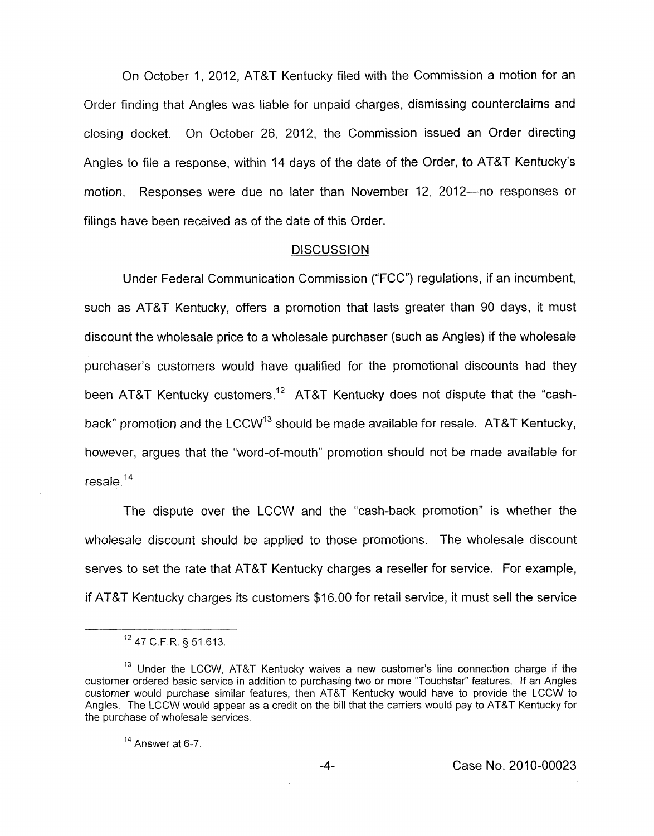On October 1, 2012, AT&T Kentucky filed with the Commission a motion for an Order finding that Angles was liable for unpaid charges, dismissing counterclaims and closing docket. On October 26, 2012, the Commission issued an Order directing Angles to file a response, within 14 days of the date of the Order, to AT&T Kentucky's motion. Responses were due no later than November 12, 2012-no responses or filings have been received as of the date of this Order.

### **DISCUSSION**

Under Federal Communication Commission ("FCC") regulations, if an incumbent, such as AT&T Kentucky, offers a promotion that lasts greater than 90 days, it must discount the wholesale price to a wholesale purchaser (such as Angles) if the wholesale purchaser's customers would have qualified for the promotional discounts had they been AT&T Kentucky customers.<sup>12</sup> AT&T Kentucky does not dispute that the "cashback" promotion and the LCCW<sup>13</sup> should be made available for resale. AT&T Kentucky, however, argues that the "word-of-mouth" promotion should not be made available for resale. $14$ 

The dispute over the LCCW and the "cash-back promotion" is whether the wholesale discount should be applied to those promotions. The wholesale discount serves to set the rate that AT&T Kentucky charges a reseller for service. For example, if AT&T Kentucky charges its customers \$16.00 for retail service, it must sell the service

Answer at 6-7 **<sup>14</sup>**

<sup>47</sup> C.F.R. § 51.613.

<sup>&</sup>lt;sup>13</sup> Under the LCCW, AT&T Kentucky waives a new customer's line connection charge if the customer ordered basic service in addition to purchasing two or more "Touchstar" features. If an Angles customer would purchase similar features, then AT&T Kentucky would have to provide the LCCW to Angles. The LCCW would appear as a credit on the bill that the carriers would pay to AT&T Kentucky for the purchase of wholesale services.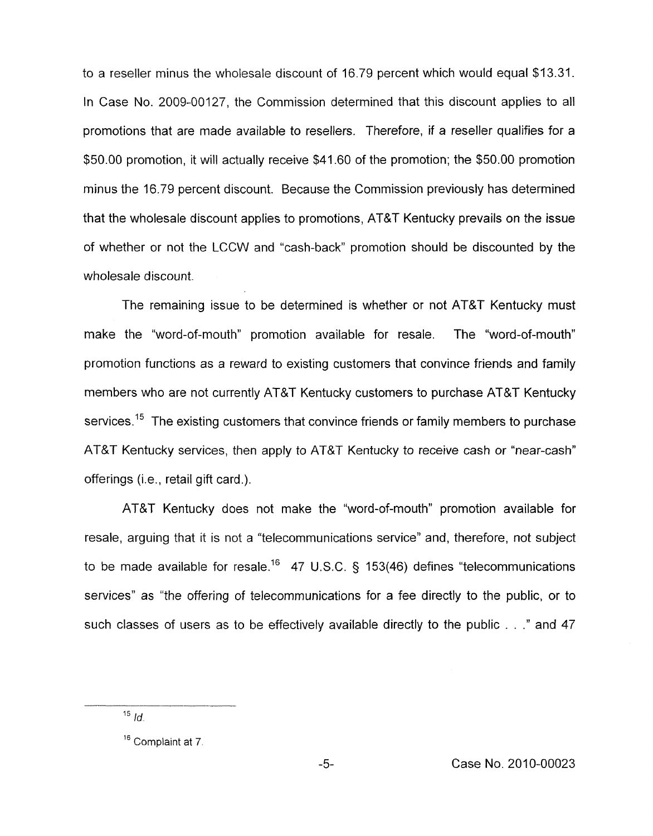to a reseller minus the wholesale discount of 16.79 percent which would equal \$13.31. In Case No. 2009-00127, the Commission determined that this discount applies to all promotions that are made available to resellers. Therefore, if a reseller qualifies for a \$50.00 promotion, it will actually receive \$41.60 of the promotion; the \$50.00 promotion minus the 16.79 percent discount. Because the Commission previously has determined that the wholesale discount applies to promotions, AT&T Kentucky prevails on the issue of whether or not the LCCW and "cash-back" promotion should be discounted by the wholesale discount.

The remaining issue to be determined is whether or not AT&T Kentucky must make the "word-of-mouth" promotion available for resale. The "word-of-mouth" promotion functions as a reward to existing customers that convince friends and family members who are not currently AT&T Kentucky customers to purchase AT&T Kentucky services.<sup>15</sup> The existing customers that convince friends or family members to purchase AT&T Kentucky services, then apply to AT&T Kentucky to receive cash or "near-cash'' offerings (i.e., retail gift card.).

AT&T Kentucky does not make the "word-of-mouth" promotion available for resale, arguing that it is not a "telecommunications service" and, therefore, not subject to be made available for resale.16 47 U.S.C. *5* 153(46) defines "telecommunications services" as "the offering of telecommunications for a fee directly to the public, or to such classes of users as to be effectively available directly to the public . . ." and 47

 $15$  *Id.* 

Complaint at *7*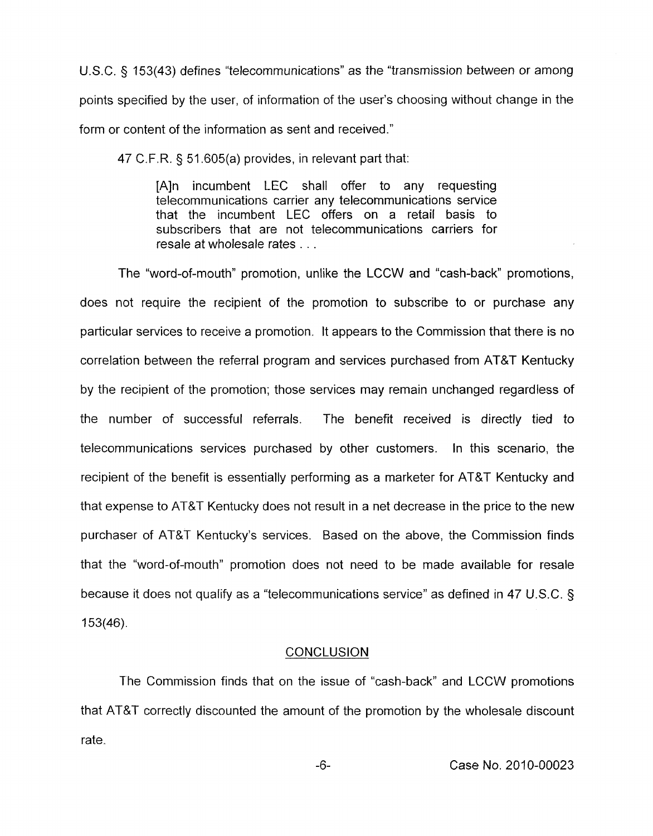U.S.C. 5 153(43) defines "telecommunications" as the "transmission between or among points specified by the user, of information of the user's choosing without change in the form or content of the information as sent and received."

47 C.F.R. § 51.605(a) provides, in relevant part that:

[A]n incumbent LEC shall offer to any requesting telecommunications carrier any telecommunications service that the incumbent LEC offers on a retail basis to subscribers that are not telecommunications carriers for resale at wholesale rates . . .

The "word-of-mouth" promotion, unlike the LCCW and "cash-back" promotions, does not require the recipient of the promotion to subscribe to or purchase any particular services to receive a promotion. It appears to the Commission that there is no correlation between the referral program and services purchased from AT&T Kentucky by the recipient of the promotion; those services may remain unchanged regardless of the number of successful referrals. The benefit received *is* directly tied to telecommunications services purchased by other customers. In this scenario, the recipient of the benefit is essentially performing as a marketer for AT&T Kentucky and that expense to AT&T Kentucky does not result in a net decrease in the price to the new purchaser of AT&T Kentucky's services. Based on the above, the Commission finds that the "word-of-mouth" promotion does not need to be made available for resale because it does not qualify as a "telecommunications service" as defined in 47 U.S.C. § 153(46).

## **CONCLUSION**

The Commission finds that on the issue of "cash-back" and LCCW promotions that AT&T correctly discounted the amount of the promotion by the wholesale discount rate.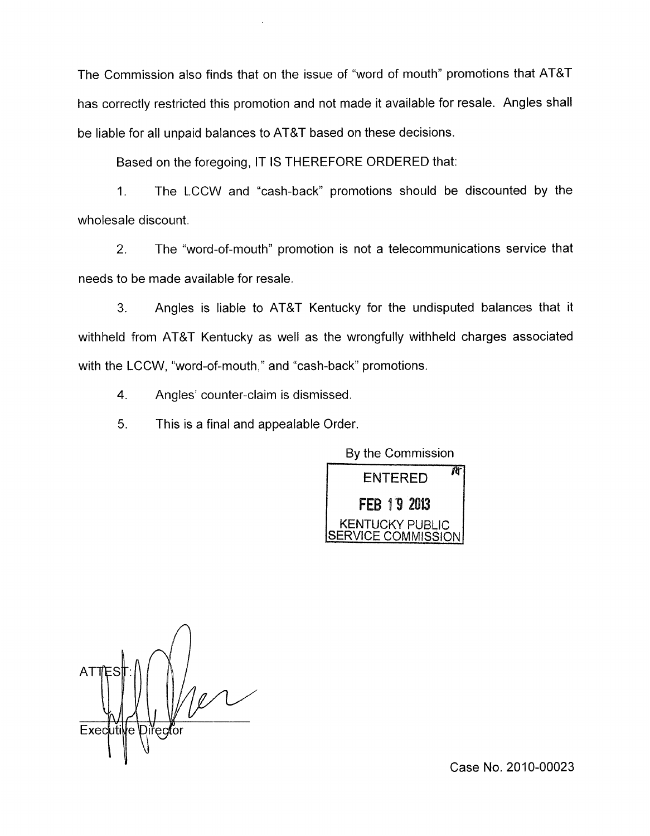The Commission also finds that on the issue of "word of mouth" promotions that AT&T has correctly restricted this promotion and not made it available for resale. Angles shall be liable for all unpaid balances to AT&T based on these decisions.

Based on the foregoing, IT IS THEREFORE ORDERED that:

1. The LCCW and "cash-back" promotions should be discounted by the wholesale discount.

2. The "word-of-mouth" promotion is not a telecommunications service that needs to be made available for resale.

3. Angles is liable to AT&T Kentucky for the undisputed balances that it withheld from AT&T Kentucky as well as the wrongfully withheld charges associated with the LCCW, "word-of-mouth," and "cash-back" promotions.

**4.** Angles' counter-claim is dismissed.

5. This is a final and appealable Order.

By the Commission



*A*  AT Executive Director

Case No. 2010-00023